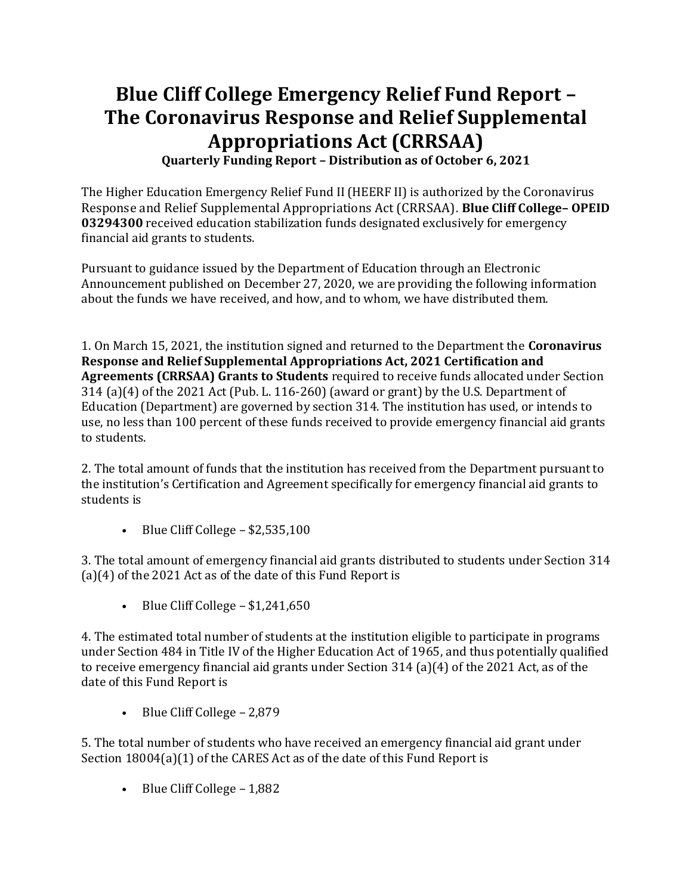# **Blue Cliff College Emergency Relief Fund Report – The Coronavirus Response and Relief Supplemental Appropriations Act (CRRSAA)**

**Quarterly Funding Report – Distribution as of October 6, 2021**

The Higher Education Emergency Relief Fund II (HEERF II) is authorized by the Coronavirus Response and Relief Supplemental Appropriations Act (CRRSAA). **Blue Cliff College– OPEID 03294300** received education stabilization funds designated exclusively for emergency financial aid grants to students.

Pursuant to guidance issued by the Department of Education through an Electronic Announcement published on December 27, 2020, we are providing the following information about the funds we have received, and how, and to whom, we have distributed them.

1. On March 15, 2021, the institution signed and returned to the Department the **Coronavirus Response and Relief Supplemental Appropriations Act, 2021 Certification and Agreements (CRRSAA) Grants to Students** required to receive funds allocated under Section 314 (a)(4) of the 2021 Act (Pub. L. 116-260) (award or grant) by the U.S. Department of Education (Department) are governed by section 314. The institution has used, or intends to use, no less than 100 percent of these funds received to provide emergency financial aid grants to students.

2. The total amount of funds that the institution has received from the Department pursuant to the institution's Certification and Agreement specifically for emergency financial aid grants to students is

• Blue Cliff College  $-$  \$2,535,100

3. The total amount of emergency financial aid grants distributed to students under Section 314 (a)(4) of the 2021 Act as of the date of this Fund Report is

• Blue Cliff College  $- $1,241,650$ 

4. The estimated total number of students at the institution eligible to participate in programs under Section 484 in Title IV of the Higher Education Act of 1965, and thus potentially qualified to receive emergency financial aid grants under Section 314 (a)(4) of the 2021 Act, as of the date of this Fund Report is

• Blue Cliff College – 2,879

5. The total number of students who have received an emergency financial aid grant under Section 18004(a)(1) of the CARES Act as of the date of this Fund Report is

• Blue Cliff College – 1,882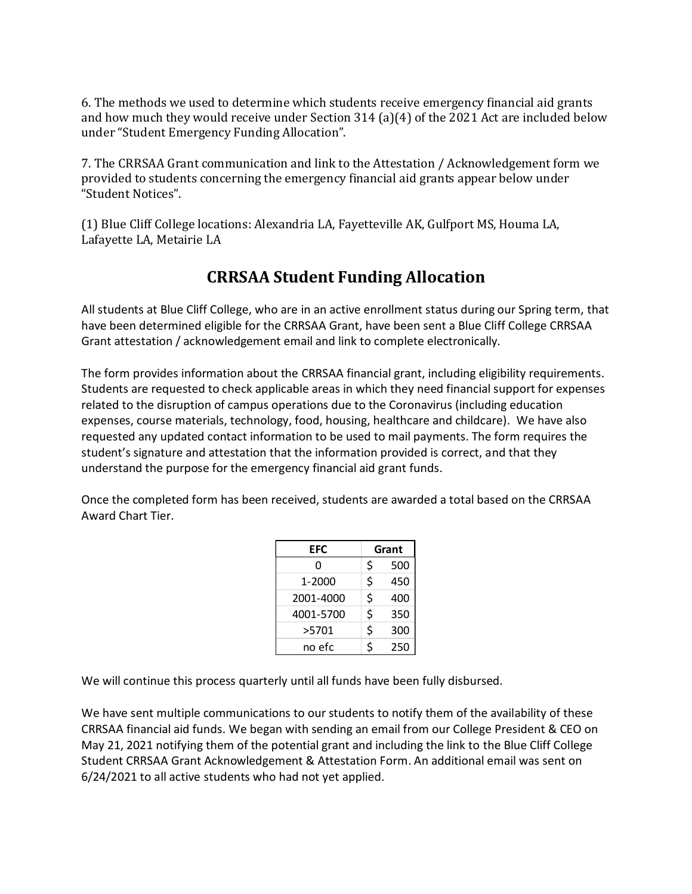6. The methods we used to determine which students receive emergency financial aid grants and how much they would receive under Section 314 (a)(4) of the 2021 Act are included below under "Student Emergency Funding Allocation".

7. The CRRSAA Grant communication and link to the Attestation / Acknowledgement form we provided to students concerning the emergency financial aid grants appear below under "Student Notices".

(1) Blue Cliff College locations: Alexandria LA, Fayetteville AK, Gulfport MS, Houma LA, Lafayette LA, Metairie LA

## **CRRSAA Student Funding Allocation**

All students at Blue Cliff College, who are in an active enrollment status during our Spring term, that have been determined eligible for the CRRSAA Grant, have been sent a Blue Cliff College CRRSAA Grant attestation / acknowledgement email and link to complete electronically.

The form provides information about the CRRSAA financial grant, including eligibility requirements. Students are requested to check applicable areas in which they need financial support for expenses related to the disruption of campus operations due to the Coronavirus (including education expenses, course materials, technology, food, housing, healthcare and childcare). We have also requested any updated contact information to be used to mail payments. The form requires the student's signature and attestation that the information provided is correct, and that they understand the purpose for the emergency financial aid grant funds.

Once the completed form has been received, students are awarded a total based on the CRRSAA Award Chart Tier.

| EFC       | Grant |     |
|-----------|-------|-----|
| 0         | \$    | 500 |
| 1-2000    | \$    | 450 |
| 2001-4000 | \$    | 400 |
| 4001-5700 | \$    | 350 |
| >5701     | \$    | 300 |
| no efc    | ς     | 250 |

We will continue this process quarterly until all funds have been fully disbursed.

We have sent multiple communications to our students to notify them of the availability of these CRRSAA financial aid funds. We began with sending an email from our College President & CEO on May 21, 2021 notifying them of the potential grant and including the link to the Blue Cliff College Student CRRSAA Grant Acknowledgement & Attestation Form. An additional email was sent on 6/24/2021 to all active students who had not yet applied.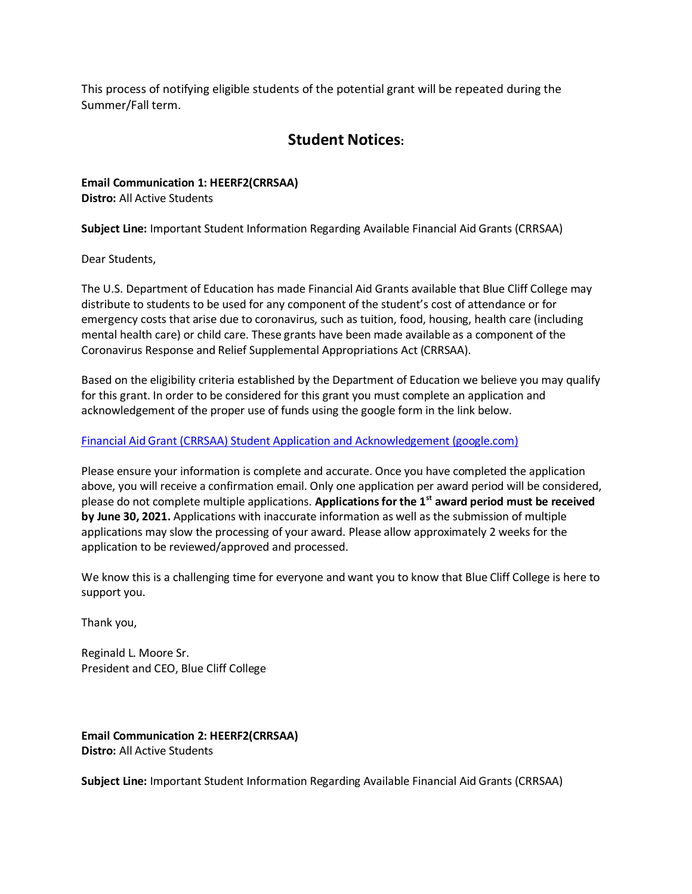This process of notifying eligible students of the potential grant will be repeated during the Summer/Fall term.

## **Student Notices:**

**Email Communication 1: HEERF2(CRRSAA) Distro:** All Active Students

**Subject Line:** Important Student Information Regarding Available Financial Aid Grants (CRRSAA)

Dear Students,

The U.S. Department of Education has made Financial Aid Grants available that Blue Cliff College may distribute to students to be used for any component of the student's cost of attendance or for emergency costs that arise due to coronavirus, such as tuition, food, housing, health care (including mental health care) or child care. These grants have been made available as a component of the Coronavirus Response and Relief Supplemental Appropriations Act (CRRSAA).

Based on the eligibility criteria established by the Department of Education we believe you may qualify for this grant. In order to be considered for this grant you must complete an application and acknowledgement of the proper use of funds using the google form in the link below.

### [Financial Aid Grant \(CRRSAA\) Student Application and Acknowledgement \(google.com\)](https://docs.google.com/forms/d/e/1FAIpQLSc_gD1lsk073ZFh5U7zvuLZ3LyEyGPO63Sxj5RabhXdhIeqZg/viewform)

Please ensure your information is complete and accurate. Once you have completed the application above, you will receive a confirmation email. Only one application per award period will be considered, please do not complete multiple applications. **Applications for the 1st award period must be received by June 30, 2021.** Applications with inaccurate information as well as the submission of multiple applications may slow the processing of your award. Please allow approximately 2 weeks for the application to be reviewed/approved and processed.

We know this is a challenging time for everyone and want you to know that Blue Cliff College is here to support you.

Thank you,

Reginald L. Moore Sr. President and CEO, Blue Cliff College

**Email Communication 2: HEERF2(CRRSAA) Distro:** All Active Students

**Subject Line:** Important Student Information Regarding Available Financial Aid Grants (CRRSAA)